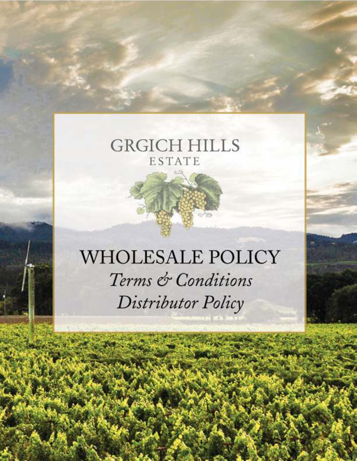# **GRGICH HILLS** ESTATE

# WHOLESALE POLICY Terms & Conditions Distributor Policy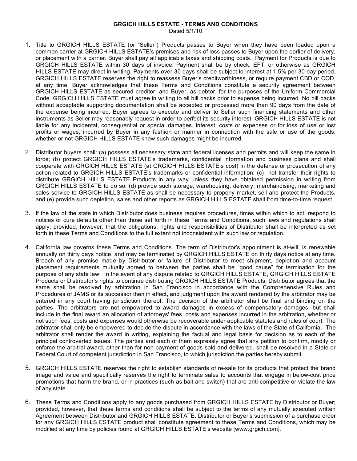#### **GRGICH HILLS ESTATE - TERMS AND CONDITIONS**

Dated 5/1/10

- 1. Title to GRGICH HILLS ESTATE (or "Seller") Products passes to Buyer when they have been loaded upon a common carrier at GRGICH HILLS ESTATE's premises and risk of loss passes to Buyer upon the earlier of delivery, or placement with a carrier. Buyer shall pay all applicable taxes and shipping costs. Payment for Products is due to GRGICH HILLS ESTATE within 30 days of invoice. Payment shall be by check, EFT, or otherwise as GRGICH HILLS ESTATE may direct in writing. Payments over 30 days shall be subject to interest at 1.5% per 30-day period. GRGICH HILLS ESTATE reserves the right to reassess Buyer's creditworthiness, or require payment CBD or COD, at any time. Buyer acknowledges that these Terms and Conditions constitute a security agreement between GRGICH HILLS ESTATE as secured creditor, and Buyer, as debtor, for the purposes of the Uniform Commercial Code. GRGICH HILLS ESTATE must agree in writing to all bill backs prior to expense being incurred. No bill backs without acceptable supporting documentation shall be accepted or processed more than 90 days from the date of the expense being incurred. Buyer agrees to execute and deliver to Seller such financing statements and other instruments as Seller may reasonably request in order to perfect its security interest. GRGICH HILLS ESTATE is not liable for any incidental, consequential or special damages, interest, costs or expenses or for loss of use or lost profits or wages, incurred by Buyer in any fashion or manner in connection with the sale or use of the goods, whether or not GRGICH HILLS ESTATE knew such damages might be incurred.
- 2. Distributor buyers shall: (a) possess all necessary state and federal licenses and permits and will keep the same in force; (b) protect GRGICH HILLS ESTATE's trademarks, confidential information and business plans and shall cooperate with GRGICH HILLS ESTATE (at GRGICH HILLS ESTATE's cost) in the defense or prosecution of any action related to GRGICH HILLS ESTATE's trademarks or confidential information; (c) not transfer their rights to distribute GRGICH HILLS ESTATE Products in any way unless they have obtained permission in writing from GRGICH HILLS ESTATE to do so; (d) provide such storage, warehousing, delivery, merchandising, marketing and sales service to GRGICH HILLS ESTATE as shall be necessary to properly market, sell and protect the Products, and (e) provide such depletion, sales and other reports as GRGICH HILLS ESTATE shall from time-to-time request.
- 3. If the law of the state in which Distributor does business requires procedures, times within which to act, respond to notices or cure defaults other than those set forth in these Terms and Conditions, such laws and regulations shall apply; provided, however, that the obligations, rights and responsibilities of Distributor shall be interpreted as set forth in these Terms and Conditions to the full extent not inconsistent with such law or regulation.
- 4. California law governs these Terms and Conditions. The term of Distributor's appointment is at-will, is renewable annually on thirty days notice, and may be terminated by GRGICH HILLS ESTATE on thirty days notice at any time. Breach of any promise made by Distributor or failure of Distributor to meet shipment, depletion and account placement requirements mutually agreed to between the parties shall be "good cause" for termination for the purpose of any state law. In the event of any dispute related to GRGICH HILLS ESTATE, GRGICH HILLS ESTATE Products or Distributor's rights to continue distributing GRGICH HILLS ESTATE Products, Distributor agrees that the same shall be resolved by arbitration in San Francisco in accordance with the Comprehensive Rules and Procedures of JAMS or its successor then in effect, and judgment upon the award rendered by the arbitrator may be entered in any court having jurisdiction thereof. The decision of the arbitrator shall be final and binding on the parties. The arbitrators are not empowered to award damages in excess of compensatory damages, but shall include in the final award an allocation of attorneys' fees, costs and expenses incurred in the arbitration, whether or not such fees, costs and expenses would otherwise be recoverable under applicable statutes and rules of court. The arbitrator shall only be empowered to decide the dispute in accordance with the laws of the State of California. The arbitrator shall render the award in writing, explaining the factual and legal basis for decision as to each of the principal controverted issues. The parties and each of them expressly agree that any petition to confirm, modify or enforce the arbitral award, other than for non-payment of goods sold and delivered, shall be resolved in a State or Federal Court of competent jurisdiction in San Francisco, to which jurisdiction the parties hereby submit.
- 5. GRGICH HILLS ESTATE reserves the right to establish standards of re-sale for its products that protect the brand image and value and specifically reserves the right to terminate sales to accounts that engage in below-cost price promotions that harm the brand, or in practices (such as bait and switch) that are anti-competitive or violate the law of any state.
- 6. These Terms and Conditions apply to any goods purchased from GRGICH HILLS ESTATE by Distributor or Buyer; provided, however, that these terms and conditions shall be subject to the terms of any mutually executed written Agreement between Distributor and GRGICH HILLS ESTATE. Distributor or Buyer's submission of a purchase order for any GRGICH HILLS ESTATE product shall constitute agreement to these Terms and Conditions, which may be modified at any time by policies found at GRGICH HILLS ESTATE's website [www.grgich.com].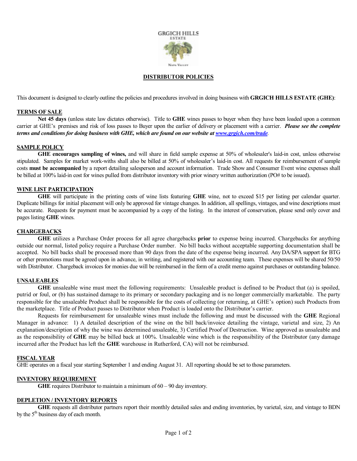

#### **DISTRIBUTOR POLICIES**

This document is designed to clearly outline the policies and procedures involved in doing business with **GRGICH HILLS ESTATE (GHE)**:

#### **TERMS OF SALE**

**Net 45 days** (unless state law dictates otherwise). Title to **GHE** wines passes to buyer when they have been loaded upon a common carrier at GHE's premises and risk of loss passes to Buyer upon the earlier of delivery or placement with a carrier. *Please see the complete terms and conditions for doing business with GHE, which are found on our website a[t www.grgich.com/trade](http://www.grgich.com/trade).* 

## **SAMPLE POLICY**

**GHE encourages sampling of wines,** and will share in field sample expense at 50% of wholesaler's laid-in cost, unless otherwise stipulated. Samples for market work-withs shall also be billed at 50% of wholesaler's laid-in cost. All requests for reimbursement of sample costs **must be accompanied** by a report detailing salesperson and account information. Trade Show and Consumer Event wine expenses shall be billed at 100% laid-in cost for wines pulled from distributor inventory with prior winery written authorization (PO# to be issued).

#### **WINE LIST PARTICIPATION**

**GHE** will participate in the printing costs of wine lists featuring **GHE** wine, not to exceed \$15 per listing per calendar quarter. Duplicate billings for initial placement will only be approved for vintage changes. In addition, all spellings, vintages, and wine descriptions must be accurate. Requests for payment must be accompanied by a copy of the listing. In the interest of conservation, please send only cover and pages listing **GHE** wines.

#### **CHARGEBACKS**

**GHE** utilizes a Purchase Order process for all agree chargebacks **prior** to expense being incurred. Chargebacks for anything outside our normal, listed policy require a Purchase Order number. No bill backs without acceptable supporting documentation shall be accepted. No bill backs shall be processed more than 90 days from the date of the expense being incurred. Any DA/SPA support for BTG or other promotions must be agreed upon in advance, in writing, and registered with our accounting team. These expenses will be shared 50/50 with Distributor. Chargeback invoices for monies due will be reimbursed in the form of a credit memo against purchases or outstanding balance.

#### **UNSALEABLES**

**GHE** unsaleable wine must meet the following requirements: Unsaleable product is defined to be Product that (a) is spoiled, putrid or foul, or (b) has sustained damage to its primary or secondary packaging and is no longer commercially marketable. The party responsible for the unsaleable Product shall be responsible for the costs of collecting (or returning, at GHE's option) such Products from the marketplace. Title of Product passes to Distributor when Product is loaded onto the Distributor's carrier.

Requests for reimbursement for unsaleable wines must include the following and must be discussed with the **GHE** Regional Manager in advance: 1) A detailed description of the wine on the bill back/invoice detailing the vintage, varietal and size, 2) An explanation/description of why the wine was determined unsaleable, 3) Certified Proof of Destruction. Wine approved as unsaleable and as the responsibility of **GHE** may be billed back at 100%. Unsaleable wine which is the responsibility of the Distributor (any damage incurred after the Product has left the **GHE** warehouse in Rutherford, CA) will not be reimbursed.

#### **FISCAL YEAR**

GHE operates on a fiscal year starting September 1 and ending August 31. All reporting should be set to those parameters.

#### **INVENTORY REQUIREMENT**

**GHE** requires Distributor to maintain a minimum of 60 – 90 day inventory.

#### **DEPLETION / INVENTORY REPORTS**

**GHE** requests all distributor partners report their monthly detailed sales and ending inventories, by varietal, size, and vintage to BDN by the  $5<sup>th</sup>$  business day of each month.